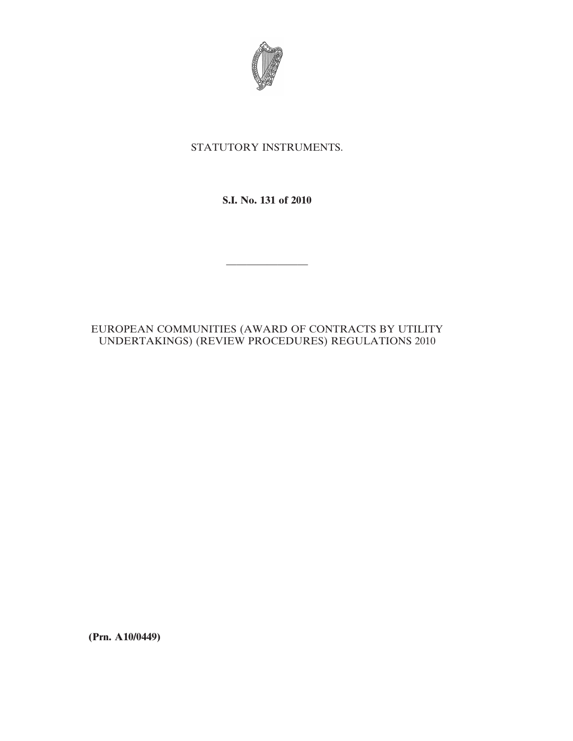

# STATUTORY INSTRUMENTS.

# **S.I. No. 131 of 2010**

————————

## EUROPEAN COMMUNITIES (AWARD OF CONTRACTS BY UTILITY UNDERTAKINGS) (REVIEW PROCEDURES) REGULATIONS 2010

**(Prn. A10/0449)**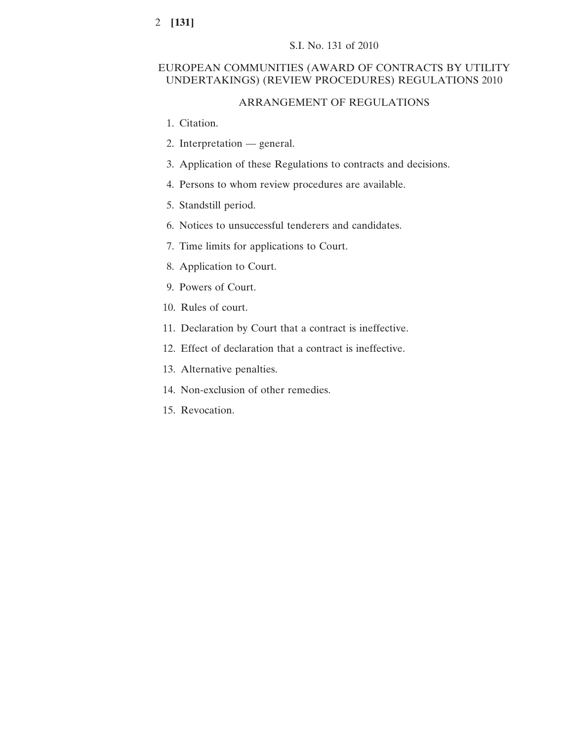## S.I. No. 131 of 2010

## EUROPEAN COMMUNITIES (AWARD OF CONTRACTS BY UTILITY UNDERTAKINGS) (REVIEW PROCEDURES) REGULATIONS 2010

## ARRANGEMENT OF REGULATIONS

- 1. Citation.
- 2. Interpretation general.
- 3. Application of these Regulations to contracts and decisions.
- 4. Persons to whom review procedures are available.
- 5. Standstill period.
- 6. Notices to unsuccessful tenderers and candidates.
- 7. Time limits for applications to Court.
- 8. Application to Court.
- 9. Powers of Court.
- 10. Rules of court.
- 11. Declaration by Court that a contract is ineffective.
- 12. Effect of declaration that a contract is ineffective.
- 13. Alternative penalties.
- 14. Non-exclusion of other remedies.
- 15. Revocation.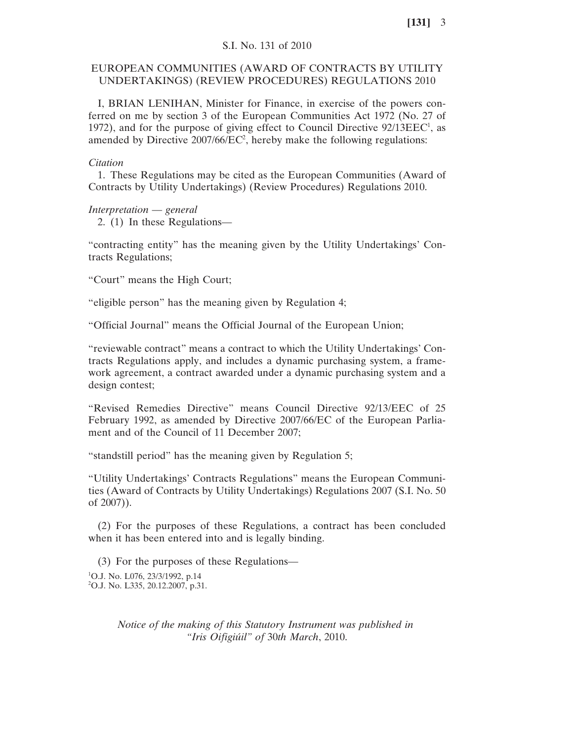## S.I. No. 131 of 2010

## EUROPEAN COMMUNITIES (AWARD OF CONTRACTS BY UTILITY UNDERTAKINGS) (REVIEW PROCEDURES) REGULATIONS 2010

I, BRIAN LENIHAN, Minister for Finance, in exercise of the powers conferred on me by section 3 of the European Communities Act 1972 (No. 27 of 1972), and for the purpose of giving effect to Council Directive  $92/13EEC<sup>1</sup>$ , as amended by Directive  $2007/66/EC^2$ , hereby make the following regulations:

#### *Citation*

1. These Regulations may be cited as the European Communities (Award of Contracts by Utility Undertakings) (Review Procedures) Regulations 2010.

*Interpretation* — *general* 2. (1) In these Regulations—

"contracting entity" has the meaning given by the Utility Undertakings' Contracts Regulations;

"Court" means the High Court;

"eligible person" has the meaning given by Regulation 4;

"Official Journal" means the Official Journal of the European Union;

"reviewable contract" means a contract to which the Utility Undertakings' Contracts Regulations apply, and includes a dynamic purchasing system, a framework agreement, a contract awarded under a dynamic purchasing system and a design contest;

"Revised Remedies Directive" means Council Directive 92/13/EEC of 25 February 1992, as amended by Directive 2007/66/EC of the European Parliament and of the Council of 11 December 2007;

"standstill period" has the meaning given by Regulation 5;

"Utility Undertakings' Contracts Regulations" means the European Communities (Award of Contracts by Utility Undertakings) Regulations 2007 (S.I. No. 50 of 2007)).

(2) For the purposes of these Regulations, a contract has been concluded when it has been entered into and is legally binding.

(3) For the purposes of these Regulations— <sup>1</sup>O.J. No. L076, 23/3/1992, p.14 2 O.J. No. L335, 20.12.2007, p.31.

> *Notice of the making of this Statutory Instrument was published in "Iris Oifigiúil" of* 30*th March*, 2010.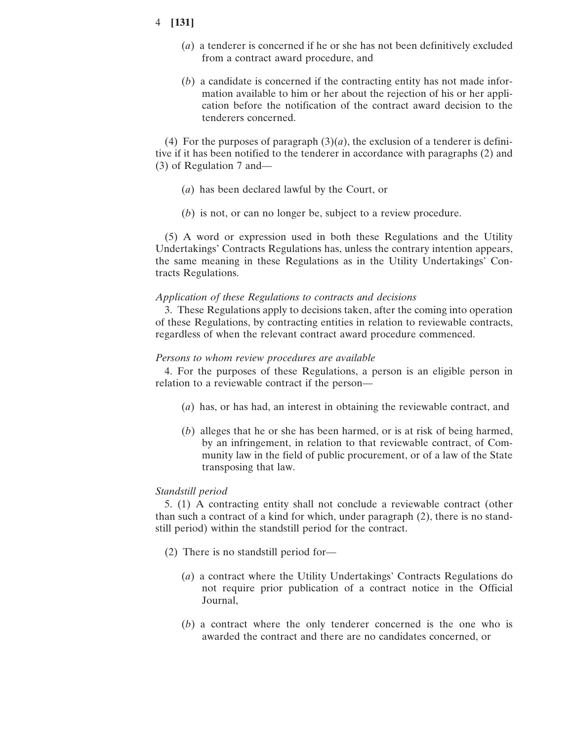- (*a*) a tenderer is concerned if he or she has not been definitively excluded from a contract award procedure, and
- (*b*) a candidate is concerned if the contracting entity has not made information available to him or her about the rejection of his or her application before the notification of the contract award decision to the tenderers concerned.

(4) For the purposes of paragraph  $(3)(a)$ , the exclusion of a tenderer is definitive if it has been notified to the tenderer in accordance with paragraphs (2) and (3) of Regulation 7 and—

- (*a*) has been declared lawful by the Court, or
- (*b*) is not, or can no longer be, subject to a review procedure.

(5) A word or expression used in both these Regulations and the Utility Undertakings' Contracts Regulations has, unless the contrary intention appears, the same meaning in these Regulations as in the Utility Undertakings' Contracts Regulations.

#### *Application of these Regulations to contracts and decisions*

3. These Regulations apply to decisions taken, after the coming into operation of these Regulations, by contracting entities in relation to reviewable contracts, regardless of when the relevant contract award procedure commenced.

#### *Persons to whom review procedures are available*

4. For the purposes of these Regulations, a person is an eligible person in relation to a reviewable contract if the person—

- (*a*) has, or has had, an interest in obtaining the reviewable contract, and
- (*b*) alleges that he or she has been harmed, or is at risk of being harmed, by an infringement, in relation to that reviewable contract, of Community law in the field of public procurement, or of a law of the State transposing that law.

#### *Standstill period*

5. (1) A contracting entity shall not conclude a reviewable contract (other than such a contract of a kind for which, under paragraph (2), there is no standstill period) within the standstill period for the contract.

- (2) There is no standstill period for—
	- (*a*) a contract where the Utility Undertakings' Contracts Regulations do not require prior publication of a contract notice in the Official Journal,
	- (*b*) a contract where the only tenderer concerned is the one who is awarded the contract and there are no candidates concerned, or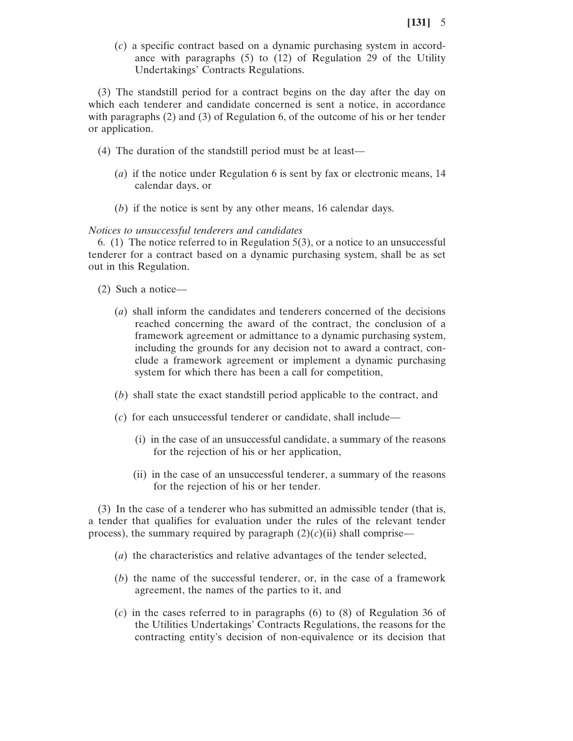(*c*) a specific contract based on a dynamic purchasing system in accordance with paragraphs (5) to (12) of Regulation 29 of the Utility Undertakings' Contracts Regulations.

(3) The standstill period for a contract begins on the day after the day on which each tenderer and candidate concerned is sent a notice, in accordance with paragraphs (2) and (3) of Regulation 6, of the outcome of his or her tender or application.

- (4) The duration of the standstill period must be at least—
	- (*a*) if the notice under Regulation 6 is sent by fax or electronic means, 14 calendar days, or
	- (*b*) if the notice is sent by any other means, 16 calendar days.

*Notices to unsuccessful tenderers and candidates*

6. (1) The notice referred to in Regulation 5(3), or a notice to an unsuccessful tenderer for a contract based on a dynamic purchasing system, shall be as set out in this Regulation.

- (2) Such a notice—
	- (*a*) shall inform the candidates and tenderers concerned of the decisions reached concerning the award of the contract, the conclusion of a framework agreement or admittance to a dynamic purchasing system, including the grounds for any decision not to award a contract, conclude a framework agreement or implement a dynamic purchasing system for which there has been a call for competition,
	- (*b*) shall state the exact standstill period applicable to the contract, and
	- (*c*) for each unsuccessful tenderer or candidate, shall include—
		- (i) in the case of an unsuccessful candidate, a summary of the reasons for the rejection of his or her application,
		- (ii) in the case of an unsuccessful tenderer, a summary of the reasons for the rejection of his or her tender.

(3) In the case of a tenderer who has submitted an admissible tender (that is, a tender that qualifies for evaluation under the rules of the relevant tender process), the summary required by paragraph  $(2)(c)(ii)$  shall comprise—

- (*a*) the characteristics and relative advantages of the tender selected,
- (*b*) the name of the successful tenderer, or, in the case of a framework agreement, the names of the parties to it, and
- (*c*) in the cases referred to in paragraphs (6) to (8) of Regulation 36 of the Utilities Undertakings' Contracts Regulations, the reasons for the contracting entity's decision of non-equivalence or its decision that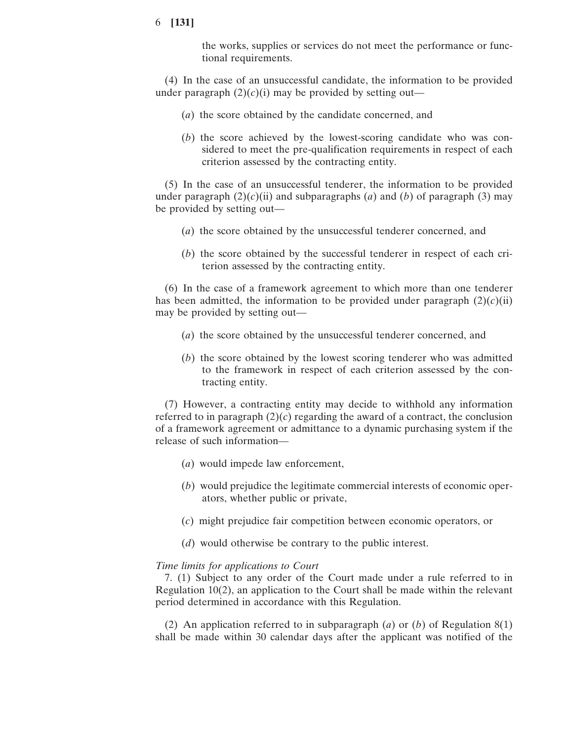the works, supplies or services do not meet the performance or functional requirements.

(4) In the case of an unsuccessful candidate, the information to be provided under paragraph  $(2)(c)(i)$  may be provided by setting out—

- (*a*) the score obtained by the candidate concerned, and
- (*b*) the score achieved by the lowest-scoring candidate who was considered to meet the pre-qualification requirements in respect of each criterion assessed by the contracting entity.

(5) In the case of an unsuccessful tenderer, the information to be provided under paragraph  $(2)(c)(ii)$  and subparagraphs (*a*) and (*b*) of paragraph (3) may be provided by setting out—

- (*a*) the score obtained by the unsuccessful tenderer concerned, and
- (*b*) the score obtained by the successful tenderer in respect of each criterion assessed by the contracting entity.

(6) In the case of a framework agreement to which more than one tenderer has been admitted, the information to be provided under paragraph  $(2)(c)(ii)$ may be provided by setting out—

- (*a*) the score obtained by the unsuccessful tenderer concerned, and
- (*b*) the score obtained by the lowest scoring tenderer who was admitted to the framework in respect of each criterion assessed by the contracting entity.

(7) However, a contracting entity may decide to withhold any information referred to in paragraph  $(2)(c)$  regarding the award of a contract, the conclusion of a framework agreement or admittance to a dynamic purchasing system if the release of such information—

- (*a*) would impede law enforcement,
- (*b*) would prejudice the legitimate commercial interests of economic operators, whether public or private,
- (*c*) might prejudice fair competition between economic operators, or
- (*d*) would otherwise be contrary to the public interest.

#### *Time limits for applications to Court*

7. (1) Subject to any order of the Court made under a rule referred to in Regulation 10(2), an application to the Court shall be made within the relevant period determined in accordance with this Regulation.

(2) An application referred to in subparagraph (*a*) or (*b*) of Regulation 8(1) shall be made within 30 calendar days after the applicant was notified of the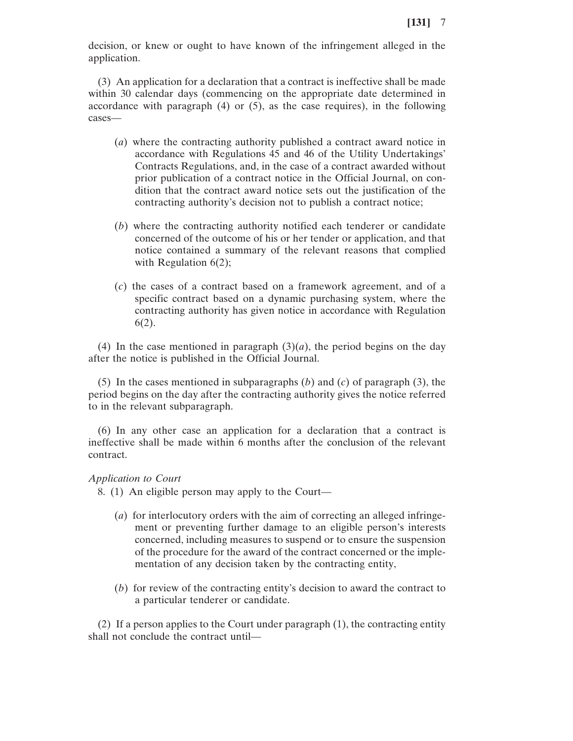decision, or knew or ought to have known of the infringement alleged in the application.

(3) An application for a declaration that a contract is ineffective shall be made within 30 calendar days (commencing on the appropriate date determined in accordance with paragraph  $(4)$  or  $(5)$ , as the case requires), in the following cases—

- (*a*) where the contracting authority published a contract award notice in accordance with Regulations 45 and 46 of the Utility Undertakings' Contracts Regulations, and, in the case of a contract awarded without prior publication of a contract notice in the Official Journal, on condition that the contract award notice sets out the justification of the contracting authority's decision not to publish a contract notice;
- (*b*) where the contracting authority notified each tenderer or candidate concerned of the outcome of his or her tender or application, and that notice contained a summary of the relevant reasons that complied with Regulation  $6(2)$ ;
- (*c*) the cases of a contract based on a framework agreement, and of a specific contract based on a dynamic purchasing system, where the contracting authority has given notice in accordance with Regulation 6(2).

(4) In the case mentioned in paragraph  $(3)(a)$ , the period begins on the day after the notice is published in the Official Journal.

(5) In the cases mentioned in subparagraphs (*b*) and (*c*) of paragraph (3), the period begins on the day after the contracting authority gives the notice referred to in the relevant subparagraph.

(6) In any other case an application for a declaration that a contract is ineffective shall be made within 6 months after the conclusion of the relevant contract.

*Application to Court*

8. (1) An eligible person may apply to the Court—

- (*a*) for interlocutory orders with the aim of correcting an alleged infringement or preventing further damage to an eligible person's interests concerned, including measures to suspend or to ensure the suspension of the procedure for the award of the contract concerned or the implementation of any decision taken by the contracting entity,
- (*b*) for review of the contracting entity's decision to award the contract to a particular tenderer or candidate.

(2) If a person applies to the Court under paragraph (1), the contracting entity shall not conclude the contract until—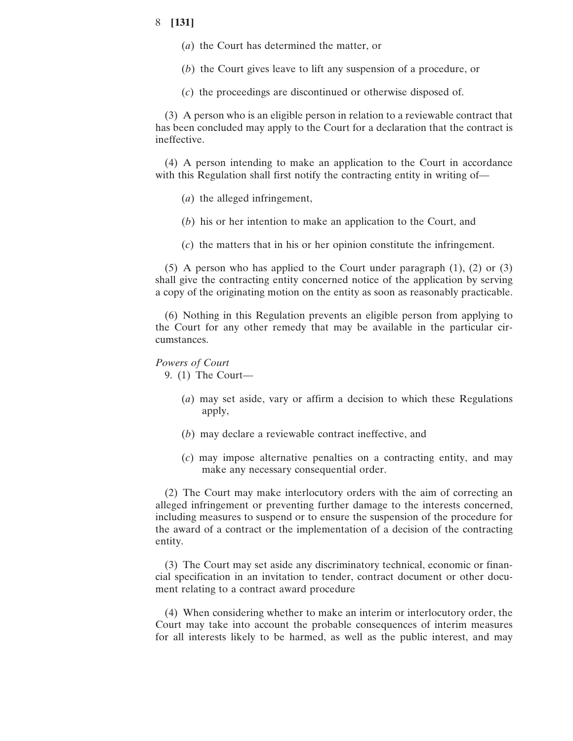- (*a*) the Court has determined the matter, or
- (*b*) the Court gives leave to lift any suspension of a procedure, or
- (*c*) the proceedings are discontinued or otherwise disposed of.

(3) A person who is an eligible person in relation to a reviewable contract that has been concluded may apply to the Court for a declaration that the contract is ineffective.

(4) A person intending to make an application to the Court in accordance with this Regulation shall first notify the contracting entity in writing of—

- (*a*) the alleged infringement,
- (*b*) his or her intention to make an application to the Court, and
- (*c*) the matters that in his or her opinion constitute the infringement.

(5) A person who has applied to the Court under paragraph (1), (2) or (3) shall give the contracting entity concerned notice of the application by serving a copy of the originating motion on the entity as soon as reasonably practicable.

(6) Nothing in this Regulation prevents an eligible person from applying to the Court for any other remedy that may be available in the particular circumstances.

#### *Powers of Court*

9. (1) The Court—

- (*a*) may set aside, vary or affirm a decision to which these Regulations apply,
- (*b*) may declare a reviewable contract ineffective, and
- (*c*) may impose alternative penalties on a contracting entity, and may make any necessary consequential order.

(2) The Court may make interlocutory orders with the aim of correcting an alleged infringement or preventing further damage to the interests concerned, including measures to suspend or to ensure the suspension of the procedure for the award of a contract or the implementation of a decision of the contracting entity.

(3) The Court may set aside any discriminatory technical, economic or financial specification in an invitation to tender, contract document or other document relating to a contract award procedure

(4) When considering whether to make an interim or interlocutory order, the Court may take into account the probable consequences of interim measures for all interests likely to be harmed, as well as the public interest, and may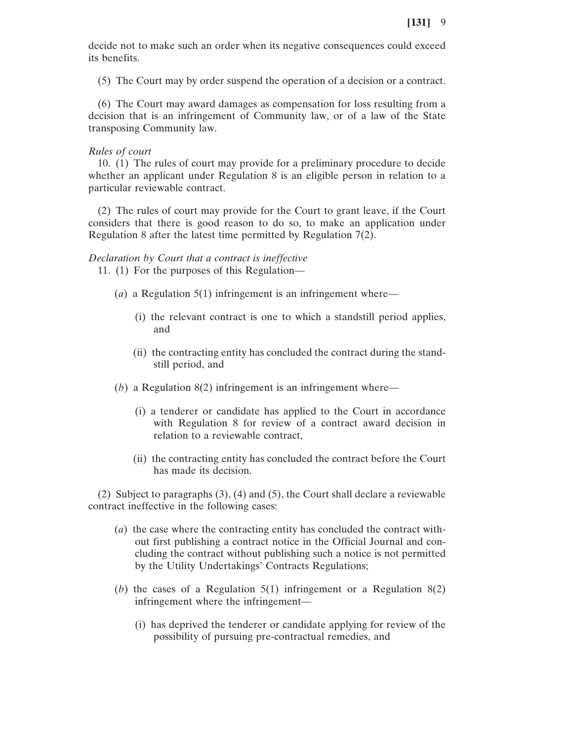decide not to make such an order when its negative consequences could exceed its benefits.

(5) The Court may by order suspend the operation of a decision or a contract.

(6) The Court may award damages as compensation for loss resulting from a decision that is an infringement of Community law, or of a law of the State transposing Community law.

## *Rules of court*

10. (1) The rules of court may provide for a preliminary procedure to decide whether an applicant under Regulation 8 is an eligible person in relation to a particular reviewable contract.

(2) The rules of court may provide for the Court to grant leave, if the Court considers that there is good reason to do so, to make an application under Regulation 8 after the latest time permitted by Regulation 7(2).

#### *Declaration by Court that a contract is ineffective*

11. (1) For the purposes of this Regulation—

- (*a*) a Regulation 5(1) infringement is an infringement where—
	- (i) the relevant contract is one to which a standstill period applies, and
	- (ii) the contracting entity has concluded the contract during the standstill period, and
- (*b*) a Regulation 8(2) infringement is an infringement where—
	- (i) a tenderer or candidate has applied to the Court in accordance with Regulation 8 for review of a contract award decision in relation to a reviewable contract,
	- (ii) the contracting entity has concluded the contract before the Court has made its decision.

(2) Subject to paragraphs (3), (4) and (5), the Court shall declare a reviewable contract ineffective in the following cases:

- (*a*) the case where the contracting entity has concluded the contract without first publishing a contract notice in the Official Journal and concluding the contract without publishing such a notice is not permitted by the Utility Undertakings' Contracts Regulations;
- (*b*) the cases of a Regulation 5(1) infringement or a Regulation 8(2) infringement where the infringement—
	- (i) has deprived the tenderer or candidate applying for review of the possibility of pursuing pre-contractual remedies, and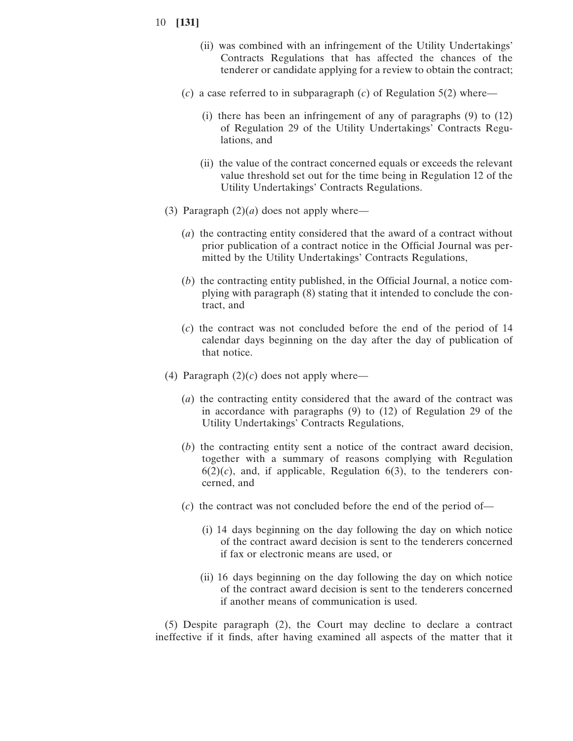- 10 **[131]**
	- (ii) was combined with an infringement of the Utility Undertakings' Contracts Regulations that has affected the chances of the tenderer or candidate applying for a review to obtain the contract;
	- (*c*) a case referred to in subparagraph (*c*) of Regulation 5(2) where—
		- (i) there has been an infringement of any of paragraphs (9) to (12) of Regulation 29 of the Utility Undertakings' Contracts Regulations, and
		- (ii) the value of the contract concerned equals or exceeds the relevant value threshold set out for the time being in Regulation 12 of the Utility Undertakings' Contracts Regulations.
	- (3) Paragraph  $(2)(a)$  does not apply where—
		- (*a*) the contracting entity considered that the award of a contract without prior publication of a contract notice in the Official Journal was permitted by the Utility Undertakings' Contracts Regulations,
		- (*b*) the contracting entity published, in the Official Journal, a notice complying with paragraph (8) stating that it intended to conclude the contract, and
		- (*c*) the contract was not concluded before the end of the period of 14 calendar days beginning on the day after the day of publication of that notice.
	- (4) Paragraph  $(2)(c)$  does not apply where—
		- (*a*) the contracting entity considered that the award of the contract was in accordance with paragraphs (9) to (12) of Regulation 29 of the Utility Undertakings' Contracts Regulations,
		- (*b*) the contracting entity sent a notice of the contract award decision, together with a summary of reasons complying with Regulation  $6(2)(c)$ , and, if applicable, Regulation  $6(3)$ , to the tenderers concerned, and
		- (*c*) the contract was not concluded before the end of the period of—
			- (i) 14 days beginning on the day following the day on which notice of the contract award decision is sent to the tenderers concerned if fax or electronic means are used, or
			- (ii) 16 days beginning on the day following the day on which notice of the contract award decision is sent to the tenderers concerned if another means of communication is used.

(5) Despite paragraph (2), the Court may decline to declare a contract ineffective if it finds, after having examined all aspects of the matter that it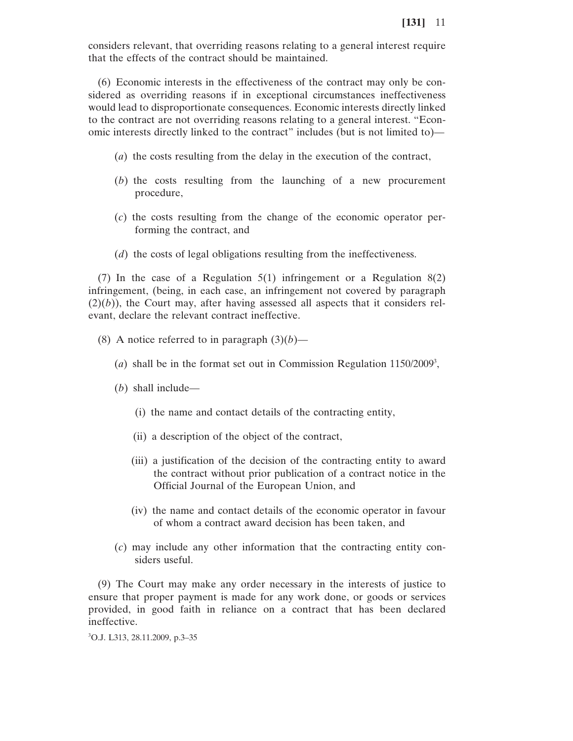considers relevant, that overriding reasons relating to a general interest require that the effects of the contract should be maintained.

(6) Economic interests in the effectiveness of the contract may only be considered as overriding reasons if in exceptional circumstances ineffectiveness would lead to disproportionate consequences. Economic interests directly linked to the contract are not overriding reasons relating to a general interest. "Economic interests directly linked to the contract" includes (but is not limited to)—

- (*a*) the costs resulting from the delay in the execution of the contract,
- (*b*) the costs resulting from the launching of a new procurement procedure,
- (*c*) the costs resulting from the change of the economic operator performing the contract, and
- (*d*) the costs of legal obligations resulting from the ineffectiveness.

(7) In the case of a Regulation 5(1) infringement or a Regulation 8(2) infringement, (being, in each case, an infringement not covered by paragraph  $(2)(b)$ ), the Court may, after having assessed all aspects that it considers relevant, declare the relevant contract ineffective.

- (8) A notice referred to in paragraph  $(3)(b)$ 
	- (*a*) shall be in the format set out in Commission Regulation 1150/2009<sup>3</sup>,
	- (*b*) shall include—
		- (i) the name and contact details of the contracting entity,
		- (ii) a description of the object of the contract,
		- (iii) a justification of the decision of the contracting entity to award the contract without prior publication of a contract notice in the Official Journal of the European Union, and
		- (iv) the name and contact details of the economic operator in favour of whom a contract award decision has been taken, and
	- (*c*) may include any other information that the contracting entity considers useful.

(9) The Court may make any order necessary in the interests of justice to ensure that proper payment is made for any work done, or goods or services provided, in good faith in reliance on a contract that has been declared ineffective.

3 O.J. L313, 28.11.2009, p.3–35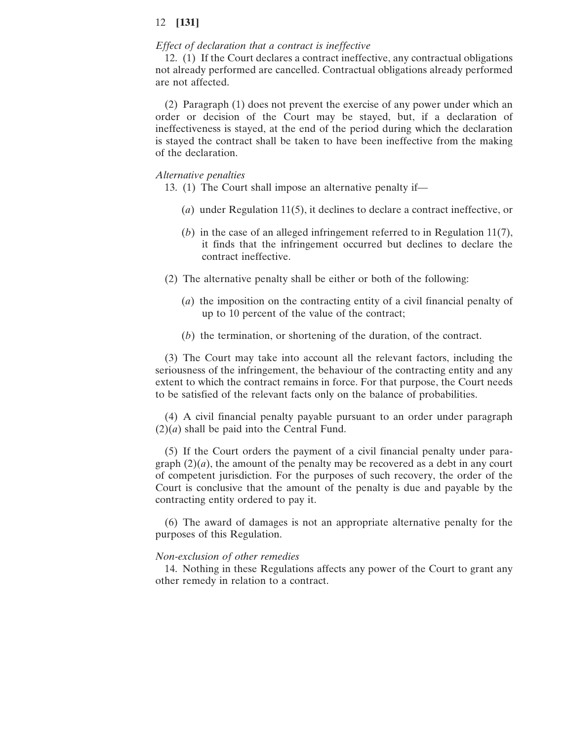#### *Effect of declaration that a contract is ineffective*

12. (1) If the Court declares a contract ineffective, any contractual obligations not already performed are cancelled. Contractual obligations already performed are not affected.

(2) Paragraph (1) does not prevent the exercise of any power under which an order or decision of the Court may be stayed, but, if a declaration of ineffectiveness is stayed, at the end of the period during which the declaration is stayed the contract shall be taken to have been ineffective from the making of the declaration.

#### *Alternative penalties*

13. (1) The Court shall impose an alternative penalty if—

- (*a*) under Regulation 11(5), it declines to declare a contract ineffective, or
- (*b*) in the case of an alleged infringement referred to in Regulation 11(7), it finds that the infringement occurred but declines to declare the contract ineffective.
- (2) The alternative penalty shall be either or both of the following:
	- (*a*) the imposition on the contracting entity of a civil financial penalty of up to 10 percent of the value of the contract;
	- (*b*) the termination, or shortening of the duration, of the contract.

(3) The Court may take into account all the relevant factors, including the seriousness of the infringement, the behaviour of the contracting entity and any extent to which the contract remains in force. For that purpose, the Court needs to be satisfied of the relevant facts only on the balance of probabilities.

(4) A civil financial penalty payable pursuant to an order under paragraph  $(2)(a)$  shall be paid into the Central Fund.

(5) If the Court orders the payment of a civil financial penalty under paragraph  $(2)(a)$ , the amount of the penalty may be recovered as a debt in any court of competent jurisdiction. For the purposes of such recovery, the order of the Court is conclusive that the amount of the penalty is due and payable by the contracting entity ordered to pay it.

(6) The award of damages is not an appropriate alternative penalty for the purposes of this Regulation.

#### *Non-exclusion of other remedies*

14. Nothing in these Regulations affects any power of the Court to grant any other remedy in relation to a contract.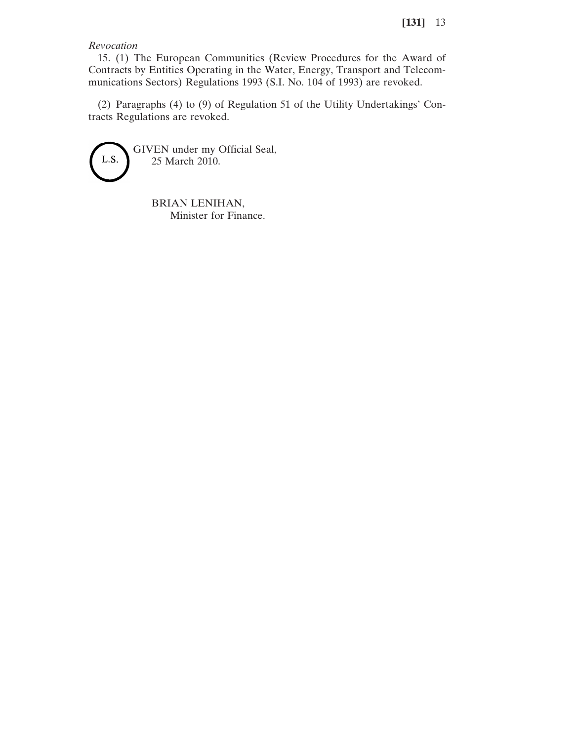*Revocation*

15. (1) The European Communities (Review Procedures for the Award of Contracts by Entities Operating in the Water, Energy, Transport and Telecommunications Sectors) Regulations 1993 (S.I. No. 104 of 1993) are revoked.

(2) Paragraphs (4) to (9) of Regulation 51 of the Utility Undertakings' Contracts Regulations are revoked.



BRIAN LENIHAN, Minister for Finance.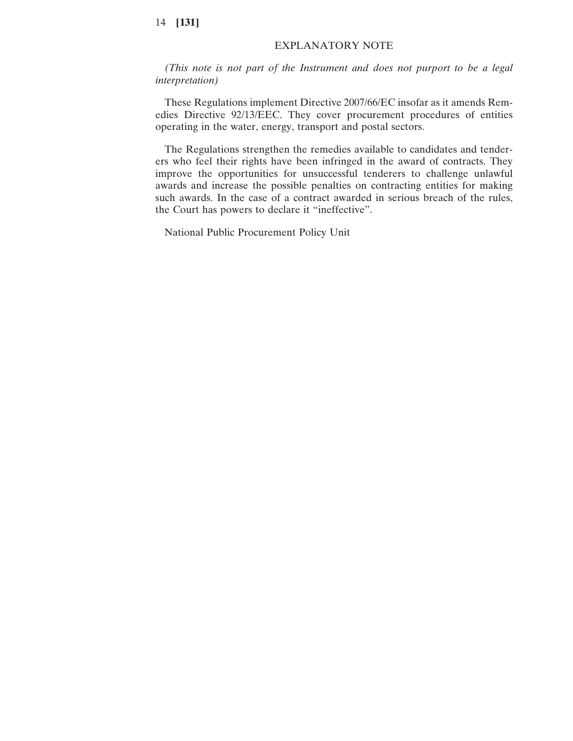## EXPLANATORY NOTE

*(This note is not part of the Instrument and does not purport to be a legal interpretation)*

These Regulations implement Directive 2007/66/EC insofar as it amends Remedies Directive 92/13/EEC. They cover procurement procedures of entities operating in the water, energy, transport and postal sectors.

The Regulations strengthen the remedies available to candidates and tenderers who feel their rights have been infringed in the award of contracts. They improve the opportunities for unsuccessful tenderers to challenge unlawful awards and increase the possible penalties on contracting entities for making such awards. In the case of a contract awarded in serious breach of the rules, the Court has powers to declare it "ineffective".

National Public Procurement Policy Unit